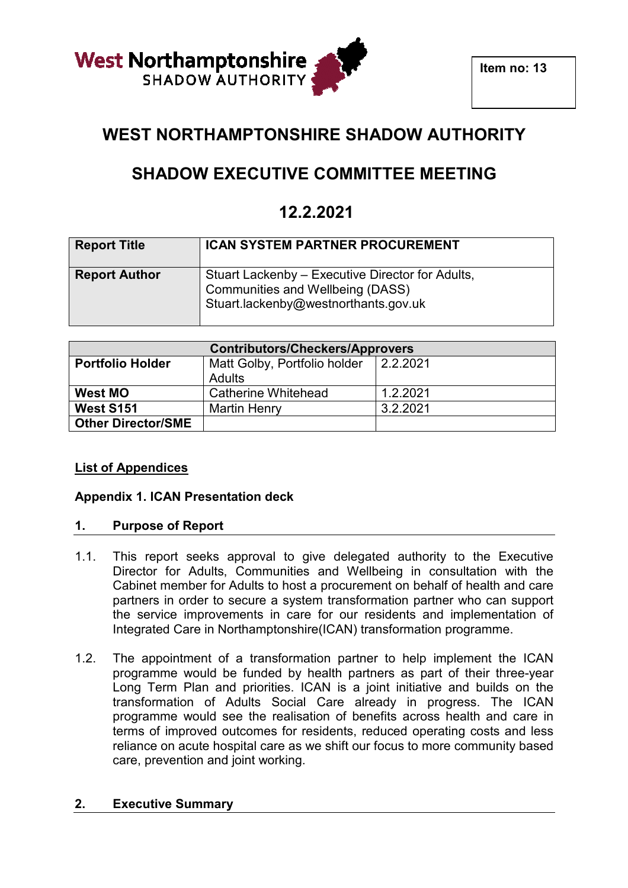

# **WEST NORTHAMPTONSHIRE SHADOW AUTHORITY**

# **SHADOW EXECUTIVE COMMITTEE MEETING**

# **12.2.2021**

| <b>Report Title</b>  | <b>ICAN SYSTEM PARTNER PROCUREMENT</b>                                                                                       |
|----------------------|------------------------------------------------------------------------------------------------------------------------------|
| <b>Report Author</b> | Stuart Lackenby – Executive Director for Adults,<br>Communities and Wellbeing (DASS)<br>Stuart.lackenby@westnorthants.gov.uk |

| <b>Contributors/Checkers/Approvers</b> |                              |          |
|----------------------------------------|------------------------------|----------|
| <b>Portfolio Holder</b>                | Matt Golby, Portfolio holder | 2.2.2021 |
|                                        | <b>Adults</b>                |          |
| <b>West MO</b>                         | Catherine Whitehead          | 1.2.2021 |
| <b>West S151</b>                       | <b>Martin Henry</b>          | 3.2.2021 |
| <b>Other Director/SME</b>              |                              |          |

# **List of Appendices**

# **Appendix 1. ICAN Presentation Presentation deck**

## **1. Purpose of Report**

- 1.1. This report seeks approval to give delegated authority to the Executive Director for Adults, Communities and Wellbeing in consultation with the Cabinet member for Adults to host a procurement on behalf of health and care Cabinet member for Adults to host a procurement on behalf of health and care<br>partners in order to secure a system transformation partner who can support the service improvements in care for our residents and implementation of Integrated Care in Northamptonshire(ICAN) transformation programme.
- 1.2. The appointment of a transformation partner to help implement the ICAN programme would be funded by health partners as part of their three-year Long Term Plan and priorities. ICAN is a joint initiative and builds on the transformation of Adults Social Care already in progress. The ICAN programme would see the realisation of benefits across health and care in terms of improved outcomes for residents, reduced operating costs and less reliance on acute hospital care as we shift our focus to more community based care, prevention and joint working.

# **2. Executive Summary**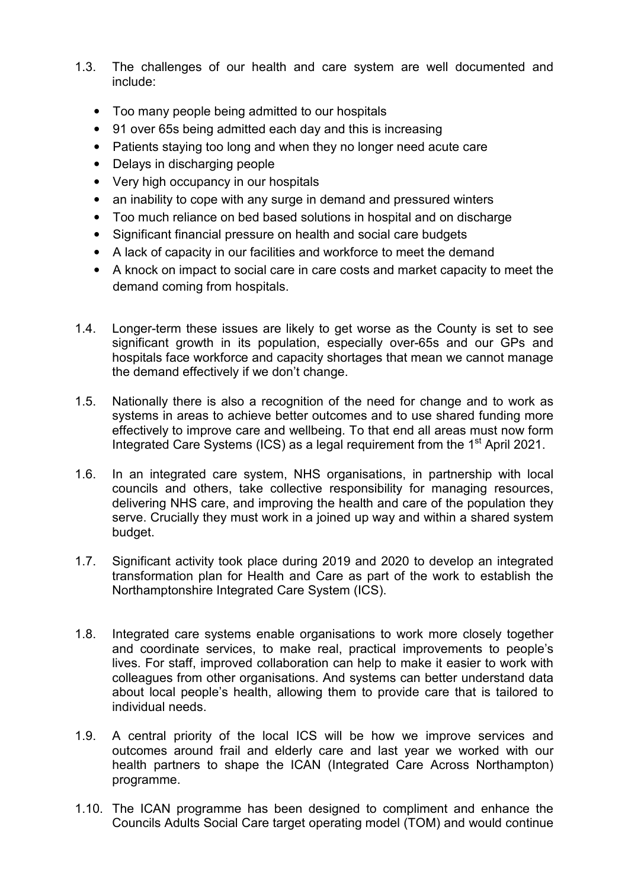- 1.3. The challenges of our health and care system are well documented and include:
	- Too many people being admitted to our hospitals
	- 91 over 65s being admitted each day and this is increasing
	- Patients staying too long and when they no longer need acute care
	- Delays in discharging people
	- Very high occupancy in our hospitals
	- an inability to cope with any surge in demand and pressured winters
	- Too much reliance on bed based solutions in hospital and on discharge
	- Significant financial pressure on health and social care budgets
	- A lack of capacity in our facilities and workforce to meet the demand
	- A knock on impact to social care in care costs and market capacity to meet the demand coming from hospitals.
- 1.4. Longer-term these issues are likely to get worse as the County is set to see significant growth in its population, especially over-65s and our GPs and hospitals face workforce and capacity shortages that mean we cannot manage the demand effectively if we don't change.
- 1.5. Nationally there is also a recognition of the need for change and to work as systems in areas to achieve better outcomes and to use shared funding more effectively to improve care and wellbeing. To that end all areas must now form Integrated Care Systems (ICS) as a legal requirement from the 1<sup>st</sup> April 2021.
- 1.6. In an integrated care system, NHS organisations, in partnership with local councils and others, take collective responsibility for managing resources, delivering NHS care, and improving the health and care of the population they serve. Crucially they must work in a joined up way and within a shared system budget.
- 1.7. Significant activity took place during 2019 and 2020 to develop an integrated transformation plan for Health and Care as part of the work to establish the Northamptonshire Integrated Care System (ICS).
- 1.8. Integrated care systems enable organisations to work more closely together and coordinate services, to make real, practical improvements to people's lives. For staff, improved collaboration can help to make it easier to work with colleagues from other organisations. And systems can better understand data about local people's health, allowing them to provide care that is tailored to individual needs.
- 1.9. A central priority of the local ICS will be how we improve services and outcomes around frail and elderly care and last year we worked with our health partners to shape the ICAN (Integrated Care Across Northampton) programme.
- 1.10. The ICAN programme has been designed to compliment and enhance the Councils Adults Social Care target operating model (TOM) and would continue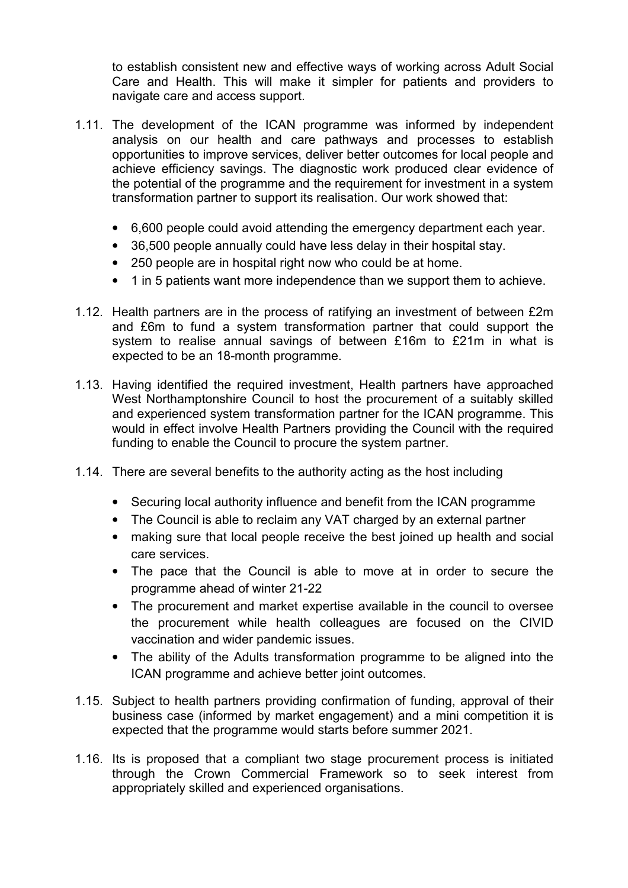to establish consistent new and effective ways of working across Adult Social Care and Health. This will make it simpler for patients and providers to navigate care and access support.

- 1.11. The development of the ICAN programme was informed by independent analysis on our health and care pathways and processes to establish opportunities to improve services, deliver better outcomes for local people and achieve efficiency savings. The diagnostic work produced clear evidence of the potential of the programme and the requirement for investment in a system transformation partner to support its realisation. Our work showed that:
	- 6,600 people could avoid attending the emergency department each year.
	- 36,500 people annually could have less delay in their hospital stay.
	- 250 people are in hospital right now who could be at home.
	- 1 in 5 patients want more independence than we support them to achieve.
- 1.12. Health partners are in the process of ratifying an investment of between £2m and £6m to fund a system transformation partner that could support the system to realise annual savings of between £16m to £21m in what is expected to be an 18-month programme.
- 1.13. Having identified the required investment, Health partners have approached West Northamptonshire Council to host the procurement of a suitably skilled and experienced system transformation partner for the ICAN programme. This would in effect involve Health Partners providing the Council with the required funding to enable the Council to procure the system partner.
- 1.14. There are several benefits to the authority acting as the host including
	- Securing local authority influence and benefit from the ICAN programme
	- The Council is able to reclaim any VAT charged by an external partner
	- making sure that local people receive the best joined up health and social care services.
	- The pace that the Council is able to move at in order to secure the programme ahead of winter 21-22
	- The procurement and market expertise available in the council to oversee the procurement while health colleagues are focused on the CIVID vaccination and wider pandemic issues.
	- The ability of the Adults transformation programme to be aligned into the ICAN programme and achieve better joint outcomes.
- 1.15. Subject to health partners providing confirmation of funding, approval of their business case (informed by market engagement) and a mini competition it is expected that the programme would starts before summer 2021.
- 1.16. Its is proposed that a compliant two stage procurement process is initiated through the Crown Commercial Framework so to seek interest from appropriately skilled and experienced organisations.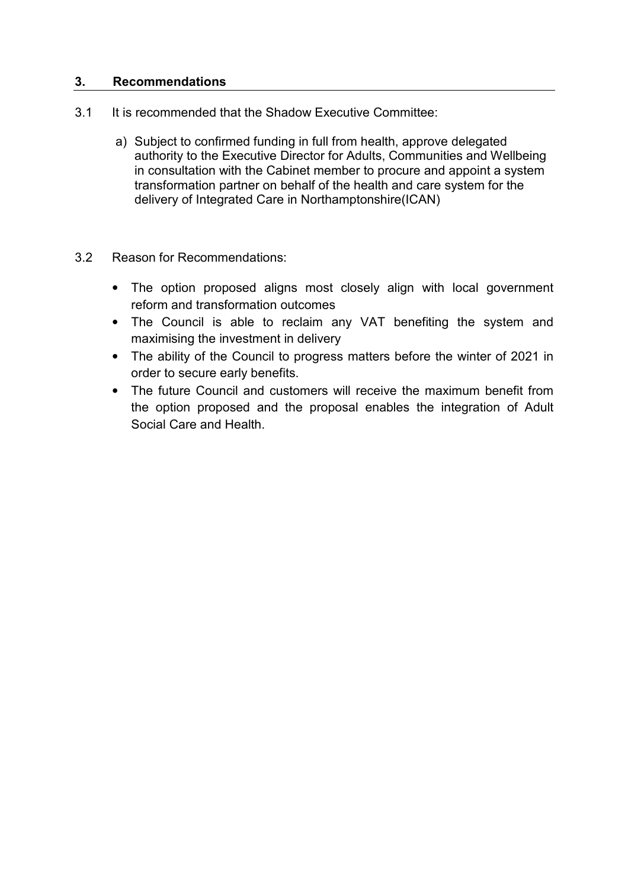## **3. Recommendations**

- 3.1 It is recommended that the Shadow Executive Committee:
	- a) Subject to confirmed funding in full from health, approve delegated authority to the Executive Director for Adults, Communities and Wellbeing in consultation with the Cabinet member to procure and appoint a system transformation partner on behalf of the health and care system for the delivery of Integrated Care in Northamptonshire(ICAN)
- 3.2 Reason for Recommendations:
	- The option proposed aligns most closely align with local government reform and transformation outcomes
	- The Council is able to reclaim any VAT benefiting the system and maximising the investment in delivery
	- The ability of the Council to progress matters before the winter of 2021 in order to secure early benefits.
	- The future Council and customers will receive the maximum benefit from the option proposed and the proposal enables the integration of Adult Social Care and Health.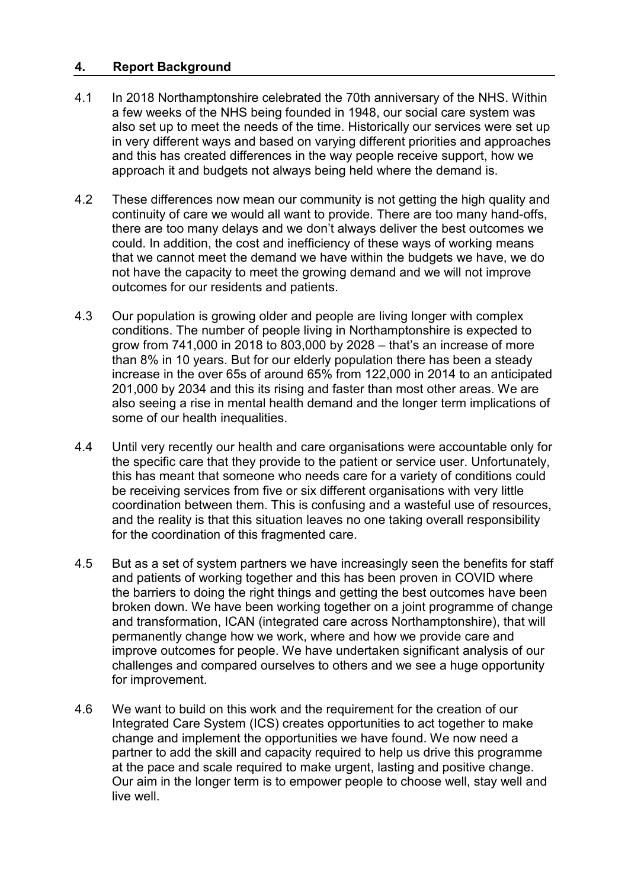## **4. Report Background**

- 4.1 In 2018 Northamptonshire celebrated the 70th anniversary of the NHS. Within a few weeks of the NHS being founded in 1948, our social care system was also set up to meet the needs of the time. Historically our services were set up in very different ways and based on varying different priorities and approaches and this has created differences in the way people receive support, how we approach it and budgets not always being held where the demand is.
- 4.2 These differences now mean our community is not getting the high quality and continuity of care we would all want to provide. There are too many hand-offs, there are too many delays and we don't always deliver the best outcomes we could. In addition, the cost and inefficiency of these ways of working means that we cannot meet the demand we have within the budgets we have, we do not have the capacity to meet the growing demand and we will not improve outcomes for our residents and patients.
- 4.3 Our population is growing older and people are living longer with complex conditions. The number of people living in Northamptonshire is expected to grow from 741,000 in 2018 to 803,000 by 2028 – that's an increase of more than 8% in 10 years. But for our elderly population there has been a steady increase in the over 65s of around 65% from 122,000 in 2014 to an anticipated 201,000 by 2034 and this its rising and faster than most other areas. We are also seeing a rise in mental health demand and the longer term implications of some of our health inequalities.
- 4.4 Until very recently our health and care organisations were accountable only for the specific care that they provide to the patient or service user. Unfortunately, this has meant that someone who needs care for a variety of conditions could be receiving services from five or six different organisations with very little coordination between them. This is confusing and a wasteful use of resources, and the reality is that this situation leaves no one taking overall responsibility for the coordination of this fragmented care.
- 4.5 But as a set of system partners we have increasingly seen the benefits for staff and patients of working together and this has been proven in COVID where the barriers to doing the right things and getting the best outcomes have been broken down. We have been working together on a joint programme of change and transformation, ICAN (integrated care across Northamptonshire), that will permanently change how we work, where and how we provide care and improve outcomes for people. We have undertaken significant analysis of our challenges and compared ourselves to others and we see a huge opportunity for improvement.
- 4.6 We want to build on this work and the requirement for the creation of our Integrated Care System (ICS) creates opportunities to act together to make change and implement the opportunities we have found. We now need a partner to add the skill and capacity required to help us drive this programme at the pace and scale required to make urgent, lasting and positive change. Our aim in the longer term is to empower people to choose well, stay well and live well.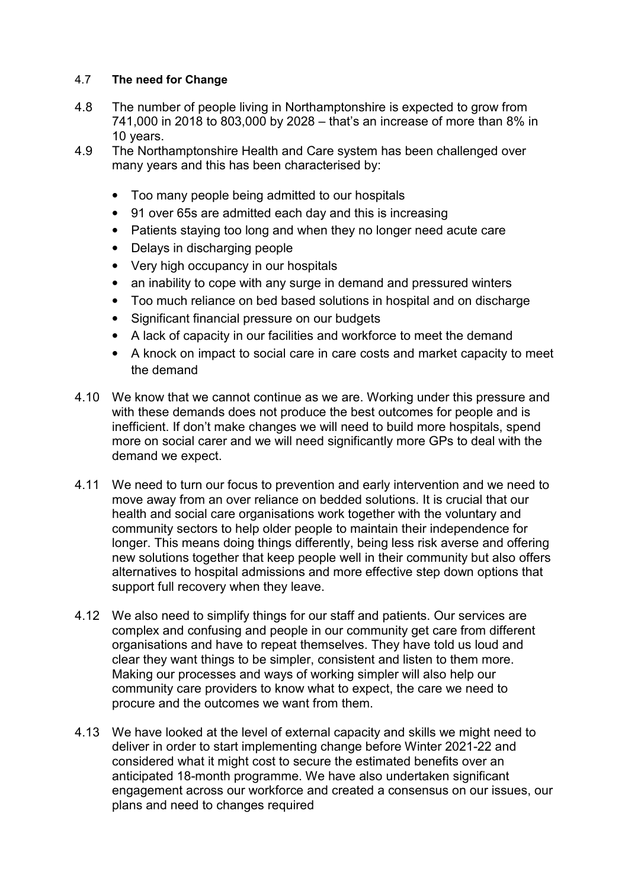## 4.7 **The need for Change**

- 4.8 The number of people living in Northamptonshire is expected to grow from 741,000 in 2018 to 803,000 by 2028 – that's an increase of more than 8% in 10 years.
- 4.9 The Northamptonshire Health and Care system has been challenged over many years and this has been characterised by:
	- Too many people being admitted to our hospitals
	- 91 over 65s are admitted each day and this is increasing
	- Patients staying too long and when they no longer need acute care
	- Delays in discharging people
	- Very high occupancy in our hospitals
	- an inability to cope with any surge in demand and pressured winters
	- Too much reliance on bed based solutions in hospital and on discharge
	- Significant financial pressure on our budgets
	- A lack of capacity in our facilities and workforce to meet the demand
	- A knock on impact to social care in care costs and market capacity to meet the demand
- 4.10 We know that we cannot continue as we are. Working under this pressure and with these demands does not produce the best outcomes for people and is inefficient. If don't make changes we will need to build more hospitals, spend more on social carer and we will need significantly more GPs to deal with the demand we expect.
- 4.11 We need to turn our focus to prevention and early intervention and we need to move away from an over reliance on bedded solutions. It is crucial that our health and social care organisations work together with the voluntary and community sectors to help older people to maintain their independence for longer. This means doing things differently, being less risk averse and offering new solutions together that keep people well in their community but also offers alternatives to hospital admissions and more effective step down options that support full recovery when they leave.
- 4.12 We also need to simplify things for our staff and patients. Our services are complex and confusing and people in our community get care from different organisations and have to repeat themselves. They have told us loud and clear they want things to be simpler, consistent and listen to them more. Making our processes and ways of working simpler will also help our community care providers to know what to expect, the care we need to procure and the outcomes we want from them.
- 4.13 We have looked at the level of external capacity and skills we might need to deliver in order to start implementing change before Winter 2021-22 and considered what it might cost to secure the estimated benefits over an anticipated 18-month programme. We have also undertaken significant engagement across our workforce and created a consensus on our issues, our plans and need to changes required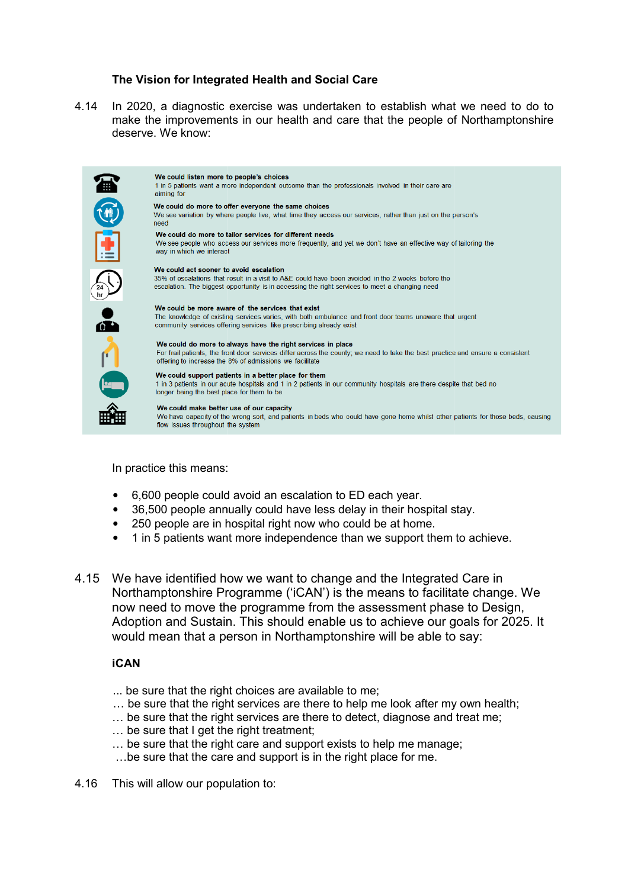#### **The Vision for Integrated Health and Social Care**

4.14 In 2020, a diagnostic exercise was undertaken to establish what we need to do to make the improvements in our health and care that the people of Northamptonshire deserve. We know:



In practice this means:

- 6,600 people could avoid an escalation to ED each year.
- 36,500 people annually could have less delay in their hospital stay.
- 250 people are in hospital right now who could be at home.
- 1 in 5 patients want more independence than we support them to achieve.
- 4.15 We have identified how we want to change and the Integrated Care in Northamptonshire Programme ('iCAN') is the means to facilitate change. We now need to move the programme from the assessment phase to Design, Adoption and Sustain. This should enable us to achieve our goals for 2025. It would mean that a person in Northamptonshire will be abl able to say: gramme ('iCAN') is the means to facil<br>programme from the assessment phand<br>This should enable us to achieve our<br>son in Northamptonshire will be able

#### **iCAN**

- ... be sure that the right choices are available to me;
- $\ldots$  be sure that the right services are there to help me look after my own health;
- ... be sure that the right services are there to detect, diagnose and treat me;
- $\ldots$  be sure that I get the right treatment;
- $\ldots$  be sure that the right care and support exists to help me manage;
- ...be sure that the care and support is in the right place for me.
- 4.16 This will allow our population to: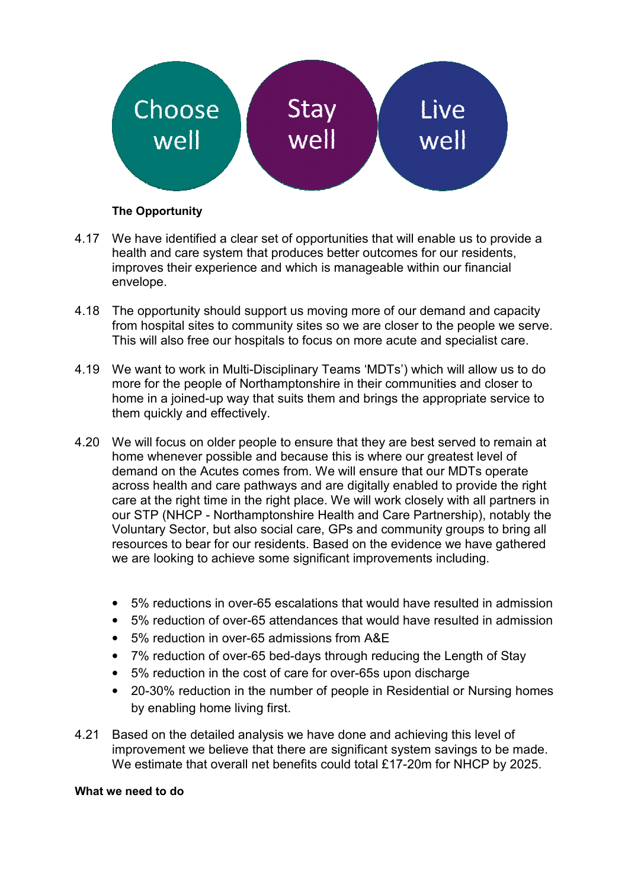

## **The Opportunity**

- 4.17 We have identified a clear set of opportunities that will enable us to provide a health and care system that produces better outcomes for our residents, improves their experience and which is manageable within our financial envelope.
- 4.18 The opportunity should support us moving more of our demand and capacity from hospital sites to community sites so we are closer to the people we serve. This will also free our hospitals to focus on more acute and specialist care.
- 4.19 We want to work in Multi-Disciplinary Teams 'MDTs') which will allow us to do more for the people of Northamptonshire in their communities and closer to home in a joined-up way that suits them and brings the appropriate service to them quickly and effectively. upport us moving more of our demand and capacity<br>imunity sites so we are closer to the people we serve<br>pitals to focus on more acute and specialist care.<br>Disciplinary Teams 'MDTs') which will allow us to do<br>orthamptonshire
- 4.20 We will focus on older people to ensure that they are best served to remain at home whenever possible and because this is where our greatest level of demand on the Acutes comes from. We will ensure that our MDTs operate across health and care pathways and are digitally enabled to provide the right care at the right time in the right place. We will work closely with all partners in our STP (NHCP - Northamptonshire Health and Care Partnership), notably the Voluntary Sector, but also social care, GPs and community groups to bring all resources to bear for our residents. Based on the evidence we have gathered we are looking to achieve some significant improvements including.
	- 5% reductions in over-65 escalations that would have resulted in admission
	- 5% reduction of over-65 attendances that would have resulted in admission
	- 5% reduction in over-65 admissions from A&E
	- 7% reduction of over-65 bed-days through reducing the Length of Stay
	- 5% reduction in the cost of care for over-65s upon discharge
	- 20-30% reduction in the number of people in Residential or Nursing homes by enabling home living first.
- 4.21 Based on the detailed analysis we have done and achieving this level of improvement we believe that there are significant system savings to be made. We estimate that overall net benefits could total £17-20m for NHCP by 2025. residents. Based on the evidence<br>
Some significant improvements<br>
65 attendances that would have<br>
65 admissions from A&E<br>
65 bed-days through reducing the<br>
65 bed-days through reducing the<br>
55 bed-days through reducing the<br>

#### **What we need to do**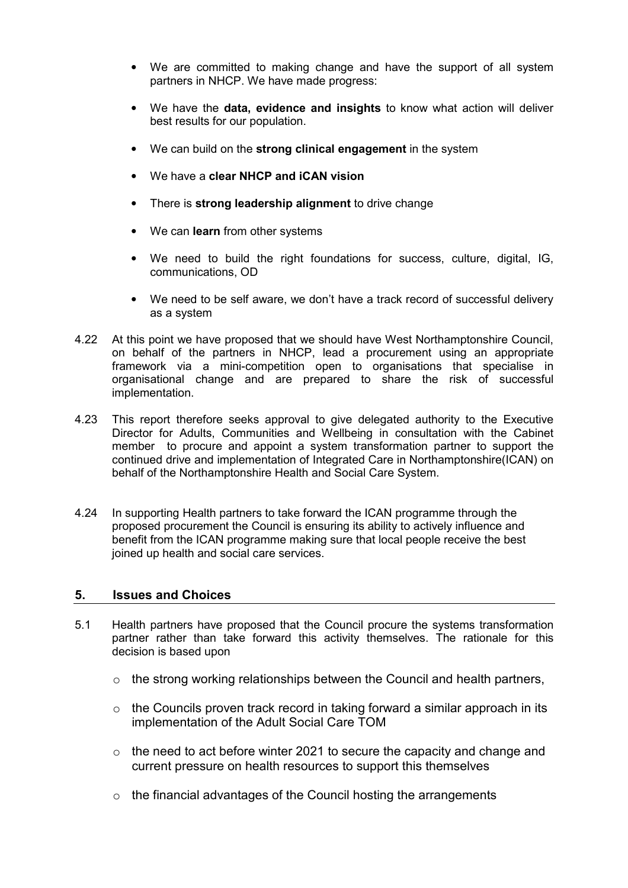- We are committed to making change and have the support of all system partners in NHCP. We have made progress:
- We have the **data, evidence and insights** to know what action will deliver best results for our population.
- We can build on the **strong clinical engagement** in the system
- We have a **clear NHCP and iCAN vision**
- There is **strong leadership alignment** to drive change
- We can **learn** from other systems
- We need to build the right foundations for success, culture, digital, IG, communications, OD
- We need to be self aware, we don't have a track record of successful delivery as a system
- 4.22 At this point we have proposed that we should have West Northamptonshire Council, on behalf of the partners in NHCP, lead a procurement using an appropriate framework via a mini-competition open to organisations that specialise in organisational change and are prepared to share the risk of successful implementation.
- 4.23 This report therefore seeks approval to give delegated authority to the Executive Director for Adults, Communities and Wellbeing in consultation with the Cabinet member to procure and appoint a system transformation partner to support the continued drive and implementation of Integrated Care in Northamptonshire(ICAN) on behalf of the Northamptonshire Health and Social Care System.
- 4.24 In supporting Health partners to take forward the ICAN programme through the proposed procurement the Council is ensuring its ability to actively influence and benefit from the ICAN programme making sure that local people receive the best joined up health and social care services.

#### **5. Issues and Choices**

- 5.1 Health partners have proposed that the Council procure the systems transformation partner rather than take forward this activity themselves. The rationale for this decision is based upon
	- $\circ$  the strong working relationships between the Council and health partners,
	- $\circ$  the Councils proven track record in taking forward a similar approach in its implementation of the Adult Social Care TOM
	- $\circ$  the need to act before winter 2021 to secure the capacity and change and current pressure on health resources to support this themselves
	- $\circ$  the financial advantages of the Council hosting the arrangements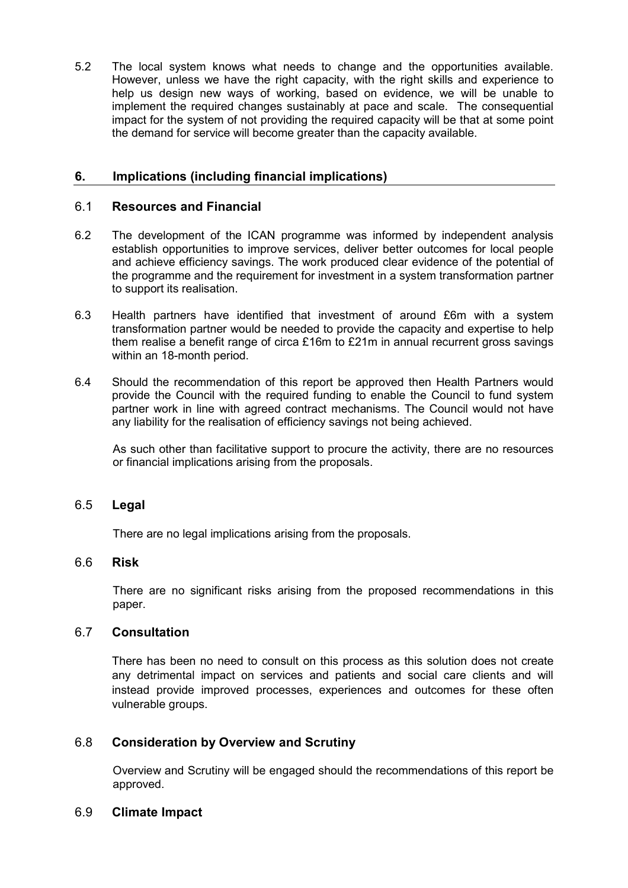5.2 The local system knows what needs to change and the opportunities available. However, unless we have the right capacity, with the right skills and experience to help us design new ways of working, based on evidence, we will be unable to implement the required changes sustainably at pace and scale. The consequential impact for the system of not providing the required capacity will be that at some point the demand for service will become greater than the capacity available.

## **6. Implications (including financial implications)**

#### 6.1 **Resources and Financial**

- 6.2 The development of the ICAN programme was informed by independent analysis establish opportunities to improve services, deliver better outcomes for local people and achieve efficiency savings. The work produced clear evidence of the potential of the programme and the requirement for investment in a system transformation partner to support its realisation.
- 6.3 Health partners have identified that investment of around £6m with a system transformation partner would be needed to provide the capacity and expertise to help them realise a benefit range of circa £16m to £21m in annual recurrent gross savings within an 18-month period.
- 6.4 Should the recommendation of this report be approved then Health Partners would provide the Council with the required funding to enable the Council to fund system partner work in line with agreed contract mechanisms. The Council would not have any liability for the realisation of efficiency savings not being achieved.

As such other than facilitative support to procure the activity, there are no resources or financial implications arising from the proposals.

#### 6.5 **Legal**

There are no legal implications arising from the proposals.

## 6.6 **Risk**

There are no significant risks arising from the proposed recommendations in this paper.

### 6.7 **Consultation**

There has been no need to consult on this process as this solution does not create any detrimental impact on services and patients and social care clients and will instead provide improved processes, experiences and outcomes for these often vulnerable groups.

## 6.8 **Consideration by Overview and Scrutiny**

Overview and Scrutiny will be engaged should the recommendations of this report be approved.

#### 6.9 **Climate Impact**